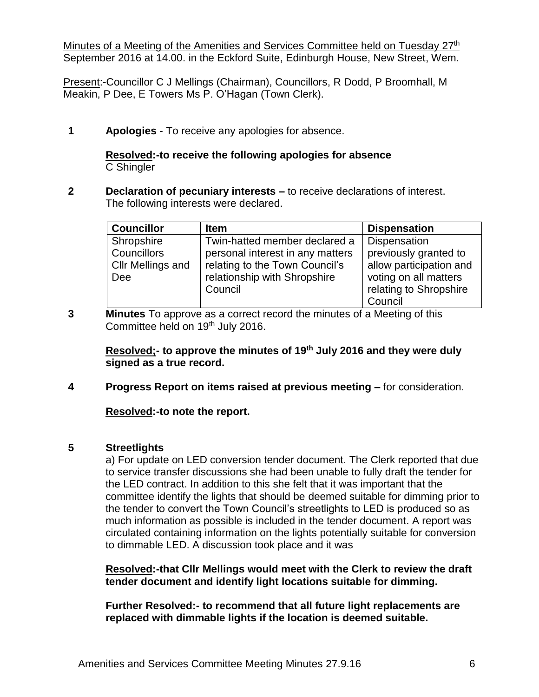Minutes of a Meeting of the Amenities and Services Committee held on Tuesday 27<sup>th</sup> September 2016 at 14.00. in the Eckford Suite, Edinburgh House, New Street, Wem.

Present:-Councillor C J Mellings (Chairman), Councillors, R Dodd, P Broomhall, M Meakin, P Dee, E Towers Ms P. O'Hagan (Town Clerk).

**1 Apologies** - To receive any apologies for absence.

## **Resolved:-to receive the following apologies for absence** C Shingler

**2 Declaration of pecuniary interests –** to receive declarations of interest. The following interests were declared.

| <b>Councillor</b> | <b>Item</b>                      | <b>Dispensation</b>     |
|-------------------|----------------------------------|-------------------------|
| Shropshire        | Twin-hatted member declared a    | Dispensation            |
| Councillors       | personal interest in any matters | previously granted to   |
| Cllr Mellings and | relating to the Town Council's   | allow participation and |
| <b>Dee</b>        | relationship with Shropshire     | voting on all matters   |
|                   | Council                          | relating to Shropshire  |
|                   |                                  | Council                 |

**3 Minutes** To approve as a correct record the minutes of a Meeting of this Committee held on 19<sup>th</sup> July 2016.

**Resolved;- to approve the minutes of 19th July 2016 and they were duly signed as a true record.**

**4 Progress Report on items raised at previous meeting –** for consideration.

**Resolved:-to note the report.**

## **5 Streetlights**

a) For update on LED conversion tender document. The Clerk reported that due to service transfer discussions she had been unable to fully draft the tender for the LED contract. In addition to this she felt that it was important that the committee identify the lights that should be deemed suitable for dimming prior to the tender to convert the Town Council's streetlights to LED is produced so as much information as possible is included in the tender document. A report was circulated containing information on the lights potentially suitable for conversion to dimmable LED. A discussion took place and it was

**Resolved:-that Cllr Mellings would meet with the Clerk to review the draft tender document and identify light locations suitable for dimming.**

**Further Resolved:- to recommend that all future light replacements are replaced with dimmable lights if the location is deemed suitable.**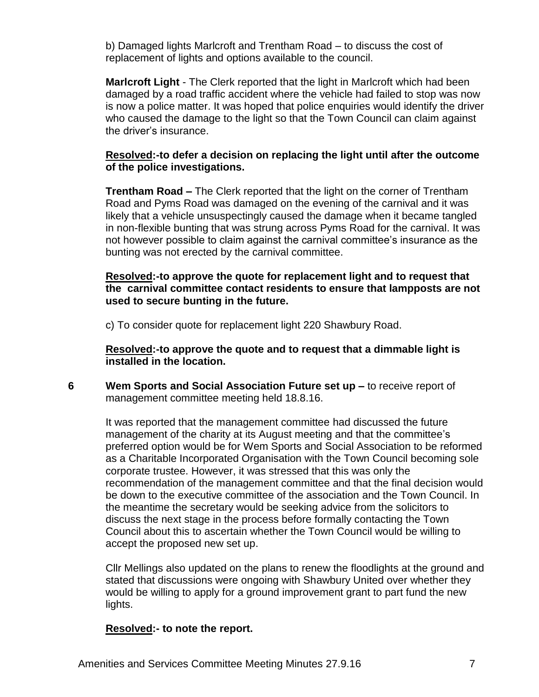b) Damaged lights Marlcroft and Trentham Road – to discuss the cost of replacement of lights and options available to the council.

**Marlcroft Light** - The Clerk reported that the light in Marlcroft which had been damaged by a road traffic accident where the vehicle had failed to stop was now is now a police matter. It was hoped that police enquiries would identify the driver who caused the damage to the light so that the Town Council can claim against the driver's insurance.

## **Resolved:-to defer a decision on replacing the light until after the outcome of the police investigations.**

**Trentham Road –** The Clerk reported that the light on the corner of Trentham Road and Pyms Road was damaged on the evening of the carnival and it was likely that a vehicle unsuspectingly caused the damage when it became tangled in non-flexible bunting that was strung across Pyms Road for the carnival. It was not however possible to claim against the carnival committee's insurance as the bunting was not erected by the carnival committee.

**Resolved:-to approve the quote for replacement light and to request that the carnival committee contact residents to ensure that lampposts are not used to secure bunting in the future.**

c) To consider quote for replacement light 220 Shawbury Road.

**Resolved:-to approve the quote and to request that a dimmable light is installed in the location.**

**6 Wem Sports and Social Association Future set up –** to receive report of management committee meeting held 18.8.16.

It was reported that the management committee had discussed the future management of the charity at its August meeting and that the committee's preferred option would be for Wem Sports and Social Association to be reformed as a Charitable Incorporated Organisation with the Town Council becoming sole corporate trustee. However, it was stressed that this was only the recommendation of the management committee and that the final decision would be down to the executive committee of the association and the Town Council. In the meantime the secretary would be seeking advice from the solicitors to discuss the next stage in the process before formally contacting the Town Council about this to ascertain whether the Town Council would be willing to accept the proposed new set up.

Cllr Mellings also updated on the plans to renew the floodlights at the ground and stated that discussions were ongoing with Shawbury United over whether they would be willing to apply for a ground improvement grant to part fund the new lights.

#### **Resolved:- to note the report.**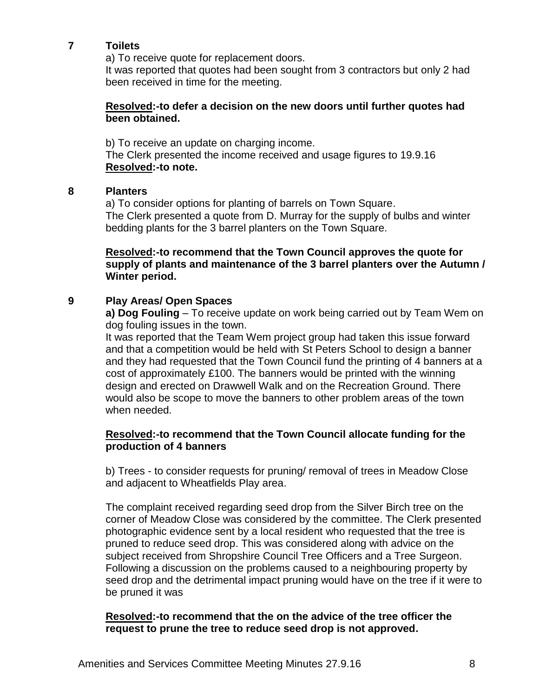## **7 Toilets**

a) To receive quote for replacement doors.

It was reported that quotes had been sought from 3 contractors but only 2 had been received in time for the meeting.

### **Resolved:-to defer a decision on the new doors until further quotes had been obtained.**

b) To receive an update on charging income. The Clerk presented the income received and usage figures to 19.9.16 **Resolved:-to note.**

#### **8 Planters**

a) To consider options for planting of barrels on Town Square. The Clerk presented a quote from D. Murray for the supply of bulbs and winter bedding plants for the 3 barrel planters on the Town Square.

**Resolved:-to recommend that the Town Council approves the quote for supply of plants and maintenance of the 3 barrel planters over the Autumn / Winter period.**

## **9 Play Areas/ Open Spaces**

**a) Dog Fouling** – To receive update on work being carried out by Team Wem on dog fouling issues in the town.

It was reported that the Team Wem project group had taken this issue forward and that a competition would be held with St Peters School to design a banner and they had requested that the Town Council fund the printing of 4 banners at a cost of approximately £100. The banners would be printed with the winning design and erected on Drawwell Walk and on the Recreation Ground. There would also be scope to move the banners to other problem areas of the town when needed.

### **Resolved:-to recommend that the Town Council allocate funding for the production of 4 banners**

b) Trees - to consider requests for pruning/ removal of trees in Meadow Close and adjacent to Wheatfields Play area.

The complaint received regarding seed drop from the Silver Birch tree on the corner of Meadow Close was considered by the committee. The Clerk presented photographic evidence sent by a local resident who requested that the tree is pruned to reduce seed drop. This was considered along with advice on the subject received from Shropshire Council Tree Officers and a Tree Surgeon. Following a discussion on the problems caused to a neighbouring property by seed drop and the detrimental impact pruning would have on the tree if it were to be pruned it was

## **Resolved:-to recommend that the on the advice of the tree officer the request to prune the tree to reduce seed drop is not approved.**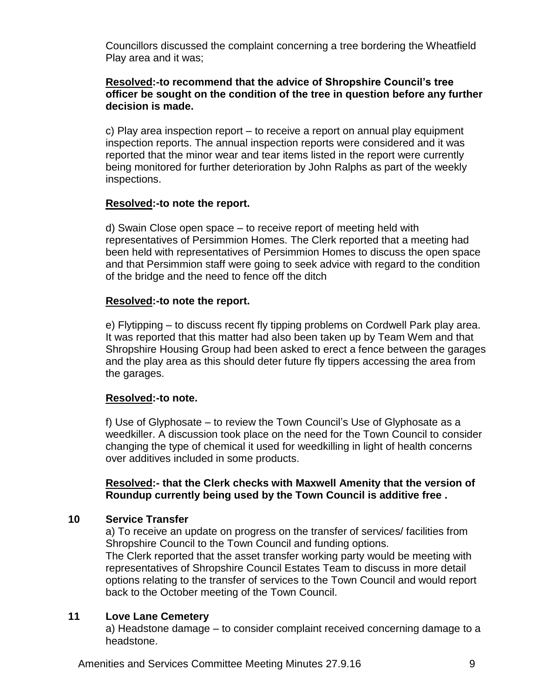Councillors discussed the complaint concerning a tree bordering the Wheatfield Play area and it was;

## **Resolved:-to recommend that the advice of Shropshire Council's tree officer be sought on the condition of the tree in question before any further decision is made.**

c) Play area inspection report – to receive a report on annual play equipment inspection reports. The annual inspection reports were considered and it was reported that the minor wear and tear items listed in the report were currently being monitored for further deterioration by John Ralphs as part of the weekly inspections.

## **Resolved:-to note the report.**

d) Swain Close open space – to receive report of meeting held with representatives of Persimmion Homes. The Clerk reported that a meeting had been held with representatives of Persimmion Homes to discuss the open space and that Persimmion staff were going to seek advice with regard to the condition of the bridge and the need to fence off the ditch

## **Resolved:-to note the report.**

e) Flytipping – to discuss recent fly tipping problems on Cordwell Park play area. It was reported that this matter had also been taken up by Team Wem and that Shropshire Housing Group had been asked to erect a fence between the garages and the play area as this should deter future fly tippers accessing the area from the garages.

# **Resolved:-to note.**

f) Use of Glyphosate – to review the Town Council's Use of Glyphosate as a weedkiller. A discussion took place on the need for the Town Council to consider changing the type of chemical it used for weedkilling in light of health concerns over additives included in some products.

## **Resolved:- that the Clerk checks with Maxwell Amenity that the version of Roundup currently being used by the Town Council is additive free .**

## **10 Service Transfer**

a) To receive an update on progress on the transfer of services/ facilities from Shropshire Council to the Town Council and funding options. The Clerk reported that the asset transfer working party would be meeting with representatives of Shropshire Council Estates Team to discuss in more detail options relating to the transfer of services to the Town Council and would report back to the October meeting of the Town Council.

# **11 Love Lane Cemetery**

a) Headstone damage – to consider complaint received concerning damage to a headstone.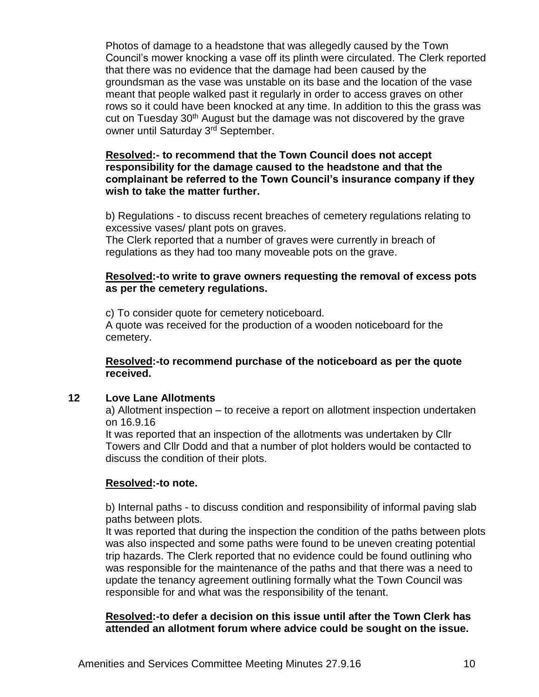Photos of damage to a headstone that was allegedly caused by the Town Council's mower knocking a vase off its plinth were circulated. The Clerk reported that there was no evidence that the damage had been caused by the groundsman as the vase was unstable on its base and the location of the vase meant that people walked past it regularly in order to access graves on other rows so it could have been knocked at any time. In addition to this the grass was cut on Tuesday 30<sup>th</sup> August but the damage was not discovered by the grave owner until Saturday 3<sup>rd</sup> September.

## **Resolved:- to recommend that the Town Council does not accept responsibility for the damage caused to the headstone and that the complainant be referred to the Town Council's insurance company if they wish to take the matter further.**

b) Regulations - to discuss recent breaches of cemetery regulations relating to excessive vases/ plant pots on graves.

The Clerk reported that a number of graves were currently in breach of regulations as they had too many moveable pots on the grave.

### **Resolved:-to write to grave owners requesting the removal of excess pots as per the cemetery regulations.**

c) To consider quote for cemetery noticeboard. A quote was received for the production of a wooden noticeboard for the cemetery.

**Resolved:-to recommend purchase of the noticeboard as per the quote received.**

## **12 Love Lane Allotments**

a) Allotment inspection – to receive a report on allotment inspection undertaken on 16.9.16

It was reported that an inspection of the allotments was undertaken by Cllr Towers and Cllr Dodd and that a number of plot holders would be contacted to discuss the condition of their plots.

## **Resolved:-to note.**

b) Internal paths - to discuss condition and responsibility of informal paving slab paths between plots.

It was reported that during the inspection the condition of the paths between plots was also inspected and some paths were found to be uneven creating potential trip hazards. The Clerk reported that no evidence could be found outlining who was responsible for the maintenance of the paths and that there was a need to update the tenancy agreement outlining formally what the Town Council was responsible for and what was the responsibility of the tenant.

## **Resolved:-to defer a decision on this issue until after the Town Clerk has attended an allotment forum where advice could be sought on the issue.**